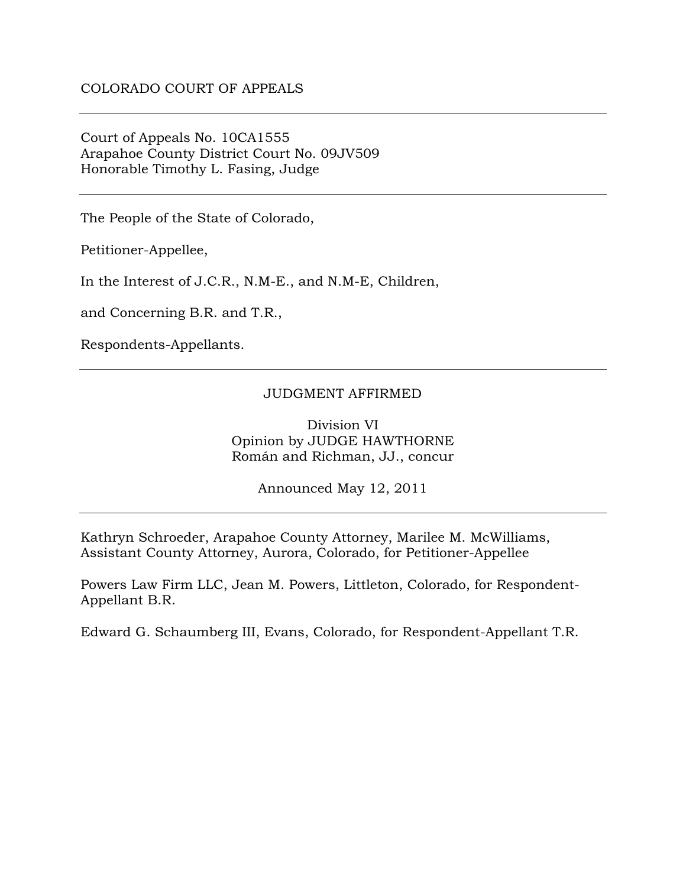Court of Appeals No. 10CA1555 Arapahoe County District Court No. 09JV509 Honorable Timothy L. Fasing, Judge

The People of the State of Colorado,

Petitioner-Appellee,

In the Interest of J.C.R., N.M-E., and N.M-E, Children,

and Concerning B.R. and T.R.,

Respondents-Appellants.

#### JUDGMENT AFFIRMED

Division VI Opinion by JUDGE HAWTHORNE Román and Richman, JJ., concur

Announced May 12, 2011

Kathryn Schroeder, Arapahoe County Attorney, Marilee M. McWilliams, Assistant County Attorney, Aurora, Colorado, for Petitioner-Appellee

Powers Law Firm LLC, Jean M. Powers, Littleton, Colorado, for Respondent-Appellant B.R.

Edward G. Schaumberg III, Evans, Colorado, for Respondent-Appellant T.R.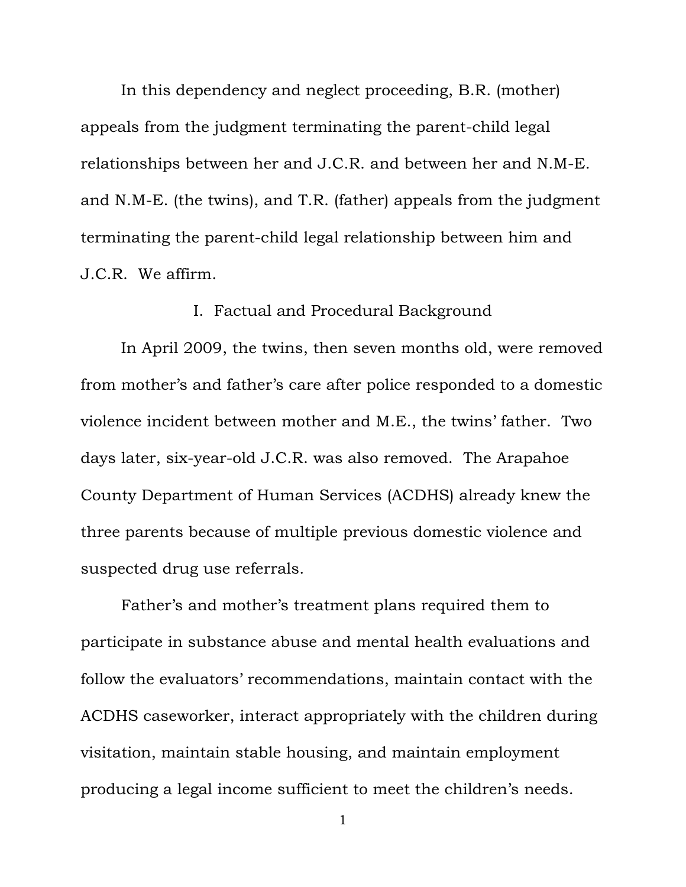In this dependency and neglect proceeding, B.R. (mother) appeals from the judgment terminating the parent-child legal relationships between her and J.C.R. and between her and N.M-E. and N.M-E. (the twins), and T.R. (father) appeals from the judgment terminating the parent-child legal relationship between him and J.C.R. We affirm.

# I. Factual and Procedural Background

In April 2009, the twins, then seven months old, were removed from mother's and father's care after police responded to a domestic violence incident between mother and M.E., the twins' father. Two days later, six-year-old J.C.R. was also removed. The Arapahoe County Department of Human Services (ACDHS) already knew the three parents because of multiple previous domestic violence and suspected drug use referrals.

Father's and mother's treatment plans required them to participate in substance abuse and mental health evaluations and follow the evaluators' recommendations, maintain contact with the ACDHS caseworker, interact appropriately with the children during visitation, maintain stable housing, and maintain employment producing a legal income sufficient to meet the children's needs.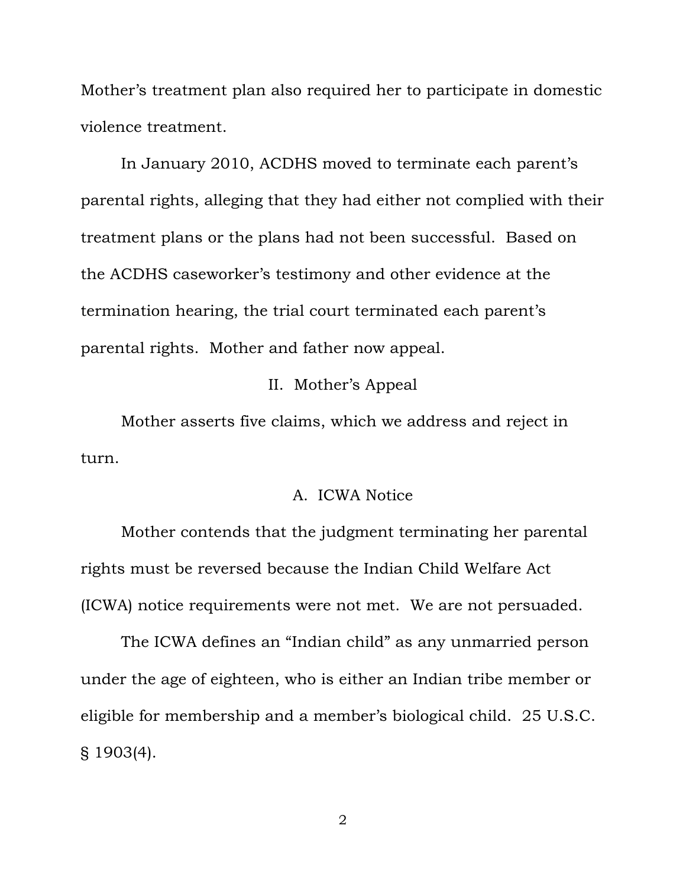Mother's treatment plan also required her to participate in domestic violence treatment.

In January 2010, ACDHS moved to terminate each parent's parental rights, alleging that they had either not complied with their treatment plans or the plans had not been successful. Based on the ACDHS caseworker's testimony and other evidence at the termination hearing, the trial court terminated each parent's parental rights. Mother and father now appeal.

## II. Mother's Appeal

 Mother asserts five claims, which we address and reject in turn.

#### A. ICWA Notice

Mother contends that the judgment terminating her parental rights must be reversed because the Indian Child Welfare Act (ICWA) notice requirements were not met. We are not persuaded.

The ICWA defines an "Indian child" as any unmarried person under the age of eighteen, who is either an Indian tribe member or eligible for membership and a member's biological child. 25 U.S.C. § 1903(4).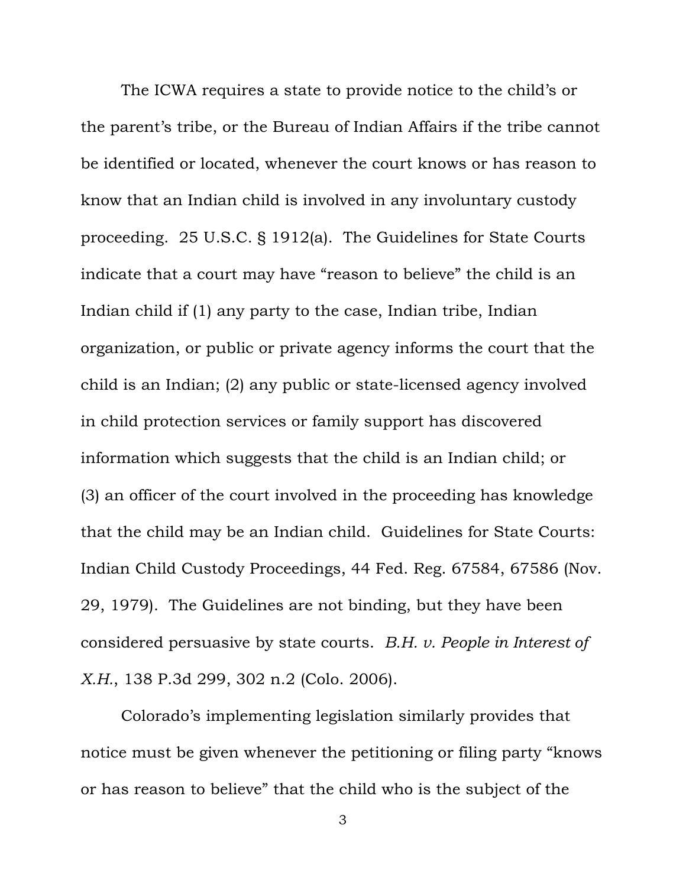The ICWA requires a state to provide notice to the child's or the parent's tribe, or the Bureau of Indian Affairs if the tribe cannot be identified or located, whenever the court knows or has reason to know that an Indian child is involved in any involuntary custody proceeding. 25 U.S.C. § 1912(a). The Guidelines for State Courts indicate that a court may have "reason to believe" the child is an Indian child if (1) any party to the case, Indian tribe, Indian organization, or public or private agency informs the court that the child is an Indian; (2) any public or state-licensed agency involved in child protection services or family support has discovered information which suggests that the child is an Indian child; or (3) an officer of the court involved in the proceeding has knowledge that the child may be an Indian child. Guidelines for State Courts: Indian Child Custody Proceedings, 44 Fed. Reg. 67584, 67586 (Nov. 29, 1979). The Guidelines are not binding, but they have been considered persuasive by state courts. *B.H. v. People in Interest of X.H.*, 138 P.3d 299, 302 n.2 (Colo. 2006).

Colorado's implementing legislation similarly provides that notice must be given whenever the petitioning or filing party "knows or has reason to believe" that the child who is the subject of the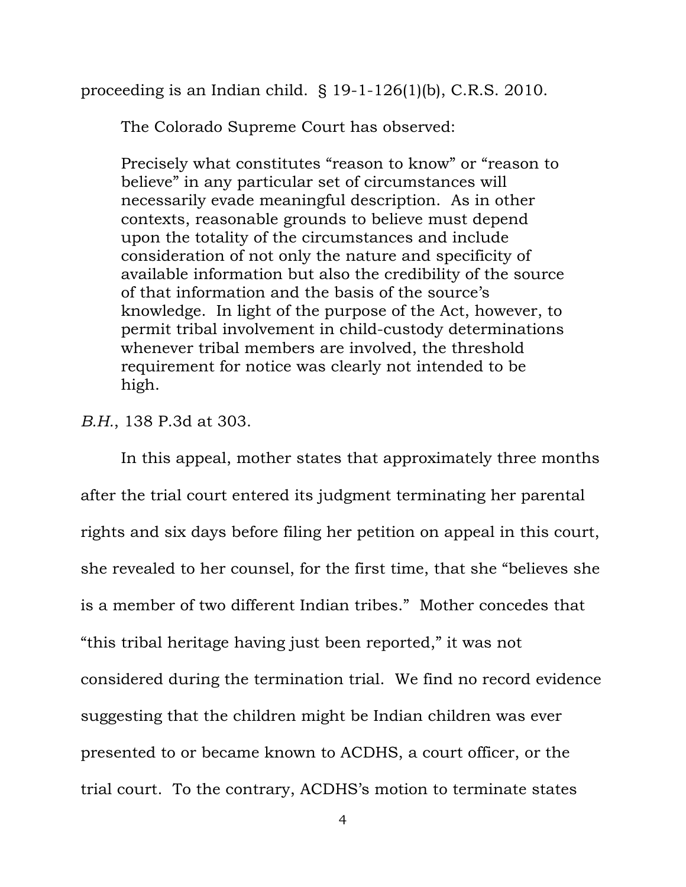proceeding is an Indian child. § 19-1-126(1)(b), C.R.S. 2010.

The Colorado Supreme Court has observed:

Precisely what constitutes "reason to know" or "reason to believe" in any particular set of circumstances will necessarily evade meaningful description. As in other contexts, reasonable grounds to believe must depend upon the totality of the circumstances and include consideration of not only the nature and specificity of available information but also the credibility of the source of that information and the basis of the source's knowledge. In light of the purpose of the Act, however, to permit tribal involvement in child-custody determinations whenever tribal members are involved, the threshold requirement for notice was clearly not intended to be high.

*B.H.*, 138 P.3d at 303.

In this appeal, mother states that approximately three months after the trial court entered its judgment terminating her parental rights and six days before filing her petition on appeal in this court, she revealed to her counsel, for the first time, that she "believes she is a member of two different Indian tribes." Mother concedes that "this tribal heritage having just been reported," it was not considered during the termination trial. We find no record evidence suggesting that the children might be Indian children was ever presented to or became known to ACDHS, a court officer, or the trial court. To the contrary, ACDHS's motion to terminate states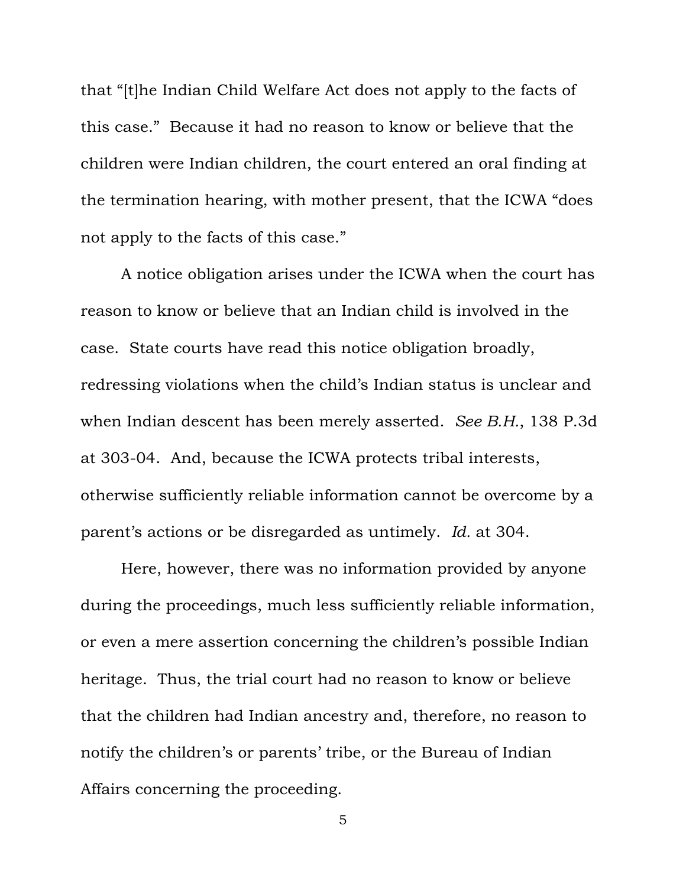that "[t]he Indian Child Welfare Act does not apply to the facts of this case." Because it had no reason to know or believe that the children were Indian children, the court entered an oral finding at the termination hearing, with mother present, that the ICWA "does not apply to the facts of this case."

A notice obligation arises under the ICWA when the court has reason to know or believe that an Indian child is involved in the case. State courts have read this notice obligation broadly, redressing violations when the child's Indian status is unclear and when Indian descent has been merely asserted. *See B.H.*, 138 P.3d at 303-04. And, because the ICWA protects tribal interests, otherwise sufficiently reliable information cannot be overcome by a parent's actions or be disregarded as untimely. *Id.* at 304.

Here, however, there was no information provided by anyone during the proceedings, much less sufficiently reliable information, or even a mere assertion concerning the children's possible Indian heritage. Thus, the trial court had no reason to know or believe that the children had Indian ancestry and, therefore, no reason to notify the children's or parents' tribe, or the Bureau of Indian Affairs concerning the proceeding.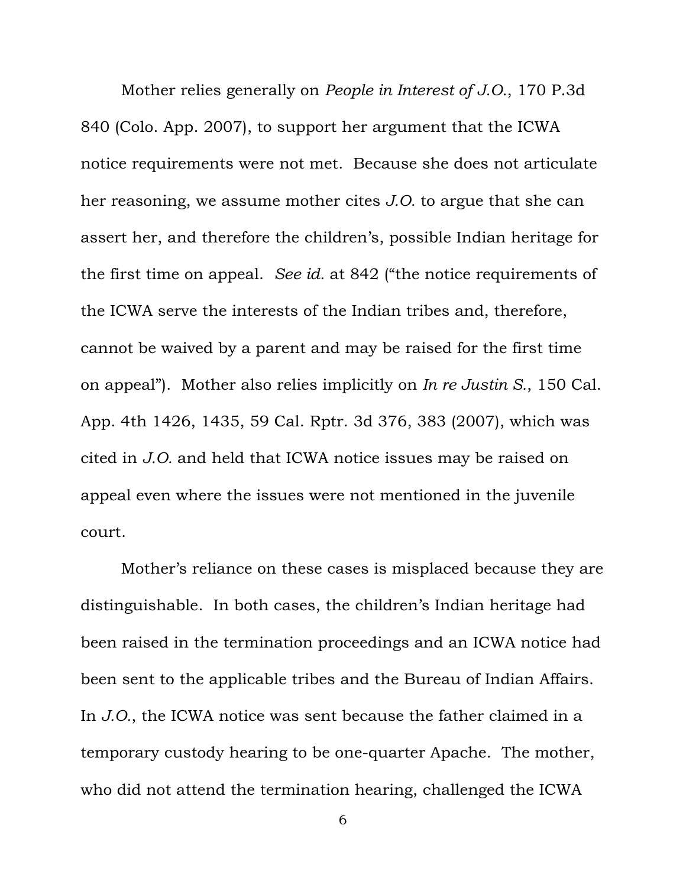Mother relies generally on *People in Interest of J.O.*, 170 P.3d 840 (Colo. App. 2007), to support her argument that the ICWA notice requirements were not met. Because she does not articulate her reasoning, we assume mother cites *J.O.* to argue that she can assert her, and therefore the children's, possible Indian heritage for the first time on appeal. *See id.* at 842 ("the notice requirements of the ICWA serve the interests of the Indian tribes and, therefore, cannot be waived by a parent and may be raised for the first time on appeal"). Mother also relies implicitly on *In re Justin S.*, 150 Cal. App. 4th 1426, 1435, 59 Cal. Rptr. 3d 376, 383 (2007), which was cited in *J.O.* and held that ICWA notice issues may be raised on appeal even where the issues were not mentioned in the juvenile court.

Mother's reliance on these cases is misplaced because they are distinguishable. In both cases, the children's Indian heritage had been raised in the termination proceedings and an ICWA notice had been sent to the applicable tribes and the Bureau of Indian Affairs. In *J.O.*, the ICWA notice was sent because the father claimed in a temporary custody hearing to be one-quarter Apache. The mother, who did not attend the termination hearing, challenged the ICWA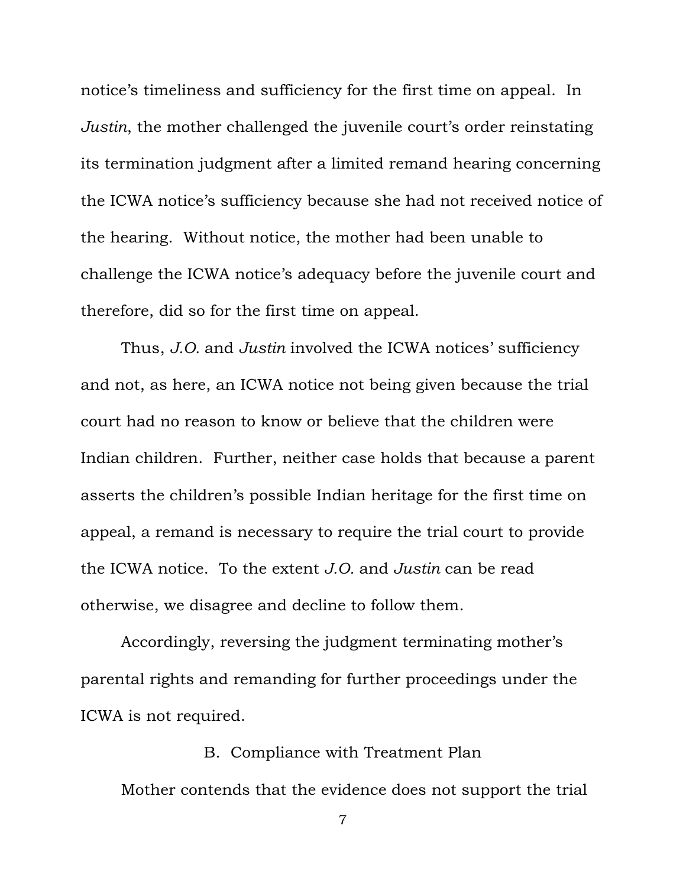notice's timeliness and sufficiency for the first time on appeal. In *Justin*, the mother challenged the juvenile court's order reinstating its termination judgment after a limited remand hearing concerning the ICWA notice's sufficiency because she had not received notice of the hearing. Without notice, the mother had been unable to challenge the ICWA notice's adequacy before the juvenile court and therefore, did so for the first time on appeal.

Thus, *J.O.* and *Justin* involved the ICWA notices' sufficiency and not, as here, an ICWA notice not being given because the trial court had no reason to know or believe that the children were Indian children. Further, neither case holds that because a parent asserts the children's possible Indian heritage for the first time on appeal, a remand is necessary to require the trial court to provide the ICWA notice. To the extent *J.O.* and *Justin* can be read otherwise, we disagree and decline to follow them.

Accordingly, reversing the judgment terminating mother's parental rights and remanding for further proceedings under the ICWA is not required.

B. Compliance with Treatment Plan Mother contends that the evidence does not support the trial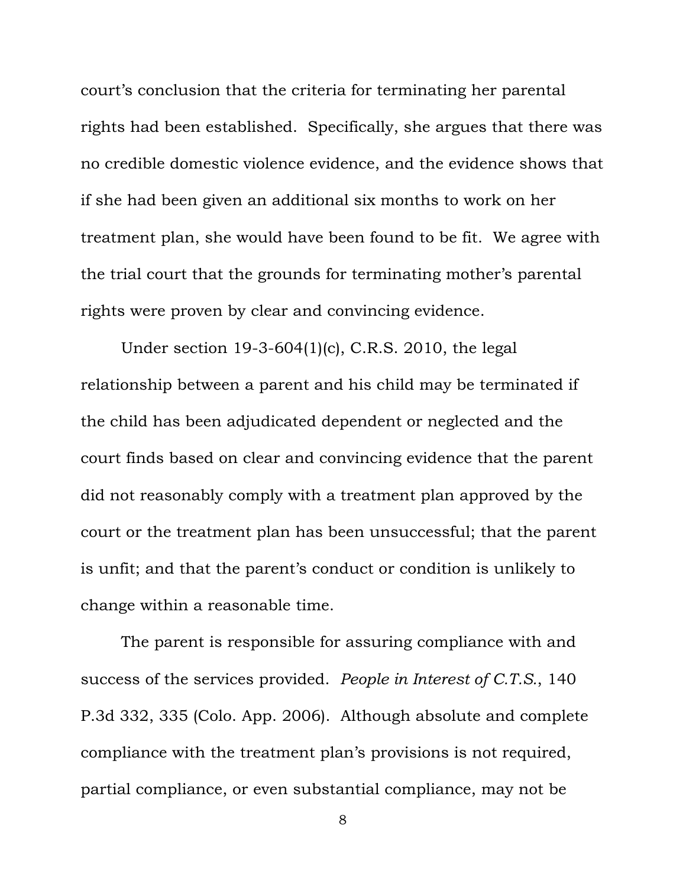court's conclusion that the criteria for terminating her parental rights had been established. Specifically, she argues that there was no credible domestic violence evidence, and the evidence shows that if she had been given an additional six months to work on her treatment plan, she would have been found to be fit. We agree with the trial court that the grounds for terminating mother's parental rights were proven by clear and convincing evidence.

Under section 19-3-604(1)(c), C.R.S. 2010, the legal relationship between a parent and his child may be terminated if the child has been adjudicated dependent or neglected and the court finds based on clear and convincing evidence that the parent did not reasonably comply with a treatment plan approved by the court or the treatment plan has been unsuccessful; that the parent is unfit; and that the parent's conduct or condition is unlikely to change within a reasonable time.

The parent is responsible for assuring compliance with and success of the services provided. *People in Interest of C.T.S.*, 140 P.3d 332, 335 (Colo. App. 2006). Although absolute and complete compliance with the treatment plan's provisions is not required, partial compliance, or even substantial compliance, may not be

<sup>8</sup>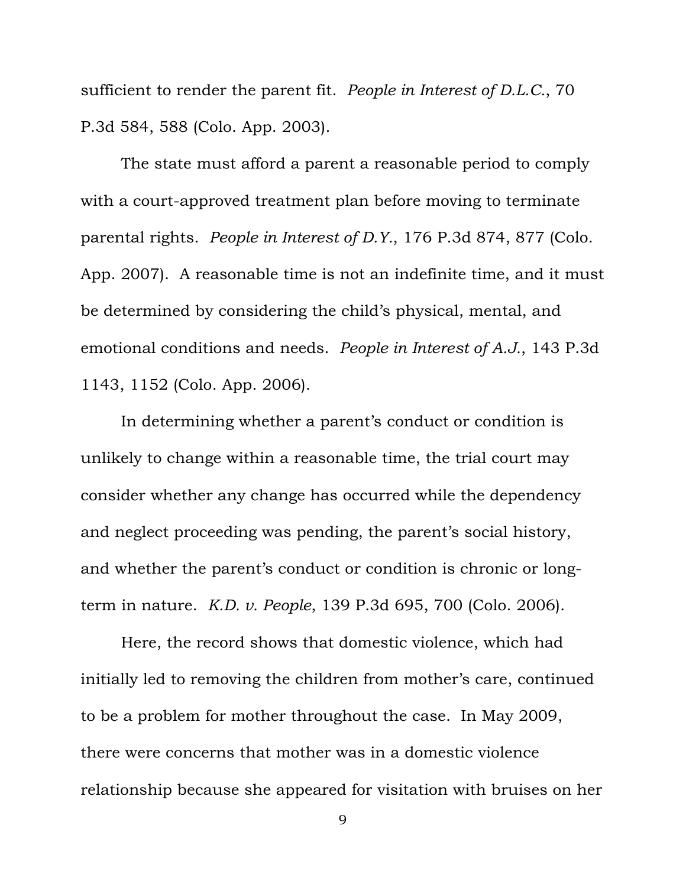sufficient to render the parent fit. *People in Interest of D.L.C.*, 70 P.3d 584, 588 (Colo. App. 2003).

The state must afford a parent a reasonable period to comply with a court-approved treatment plan before moving to terminate parental rights. *People in Interest of D.Y.*, 176 P.3d 874, 877 (Colo. App. 2007). A reasonable time is not an indefinite time, and it must be determined by considering the child's physical, mental, and emotional conditions and needs. *People in Interest of A.J.*, 143 P.3d 1143, 1152 (Colo. App. 2006).

In determining whether a parent's conduct or condition is unlikely to change within a reasonable time, the trial court may consider whether any change has occurred while the dependency and neglect proceeding was pending, the parent's social history, and whether the parent's conduct or condition is chronic or longterm in nature. *K.D. v. People*, 139 P.3d 695, 700 (Colo. 2006).

Here, the record shows that domestic violence, which had initially led to removing the children from mother's care, continued to be a problem for mother throughout the case. In May 2009, there were concerns that mother was in a domestic violence relationship because she appeared for visitation with bruises on her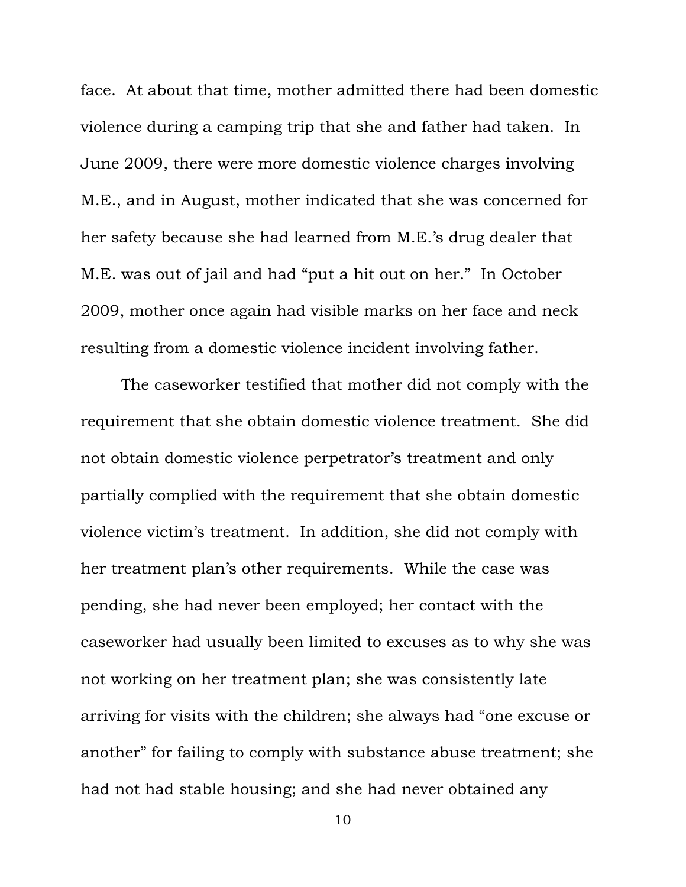face. At about that time, mother admitted there had been domestic violence during a camping trip that she and father had taken. In June 2009, there were more domestic violence charges involving M.E., and in August, mother indicated that she was concerned for her safety because she had learned from M.E.'s drug dealer that M.E. was out of jail and had "put a hit out on her." In October 2009, mother once again had visible marks on her face and neck resulting from a domestic violence incident involving father.

The caseworker testified that mother did not comply with the requirement that she obtain domestic violence treatment. She did not obtain domestic violence perpetrator's treatment and only partially complied with the requirement that she obtain domestic violence victim's treatment. In addition, she did not comply with her treatment plan's other requirements. While the case was pending, she had never been employed; her contact with the caseworker had usually been limited to excuses as to why she was not working on her treatment plan; she was consistently late arriving for visits with the children; she always had "one excuse or another" for failing to comply with substance abuse treatment; she had not had stable housing; and she had never obtained any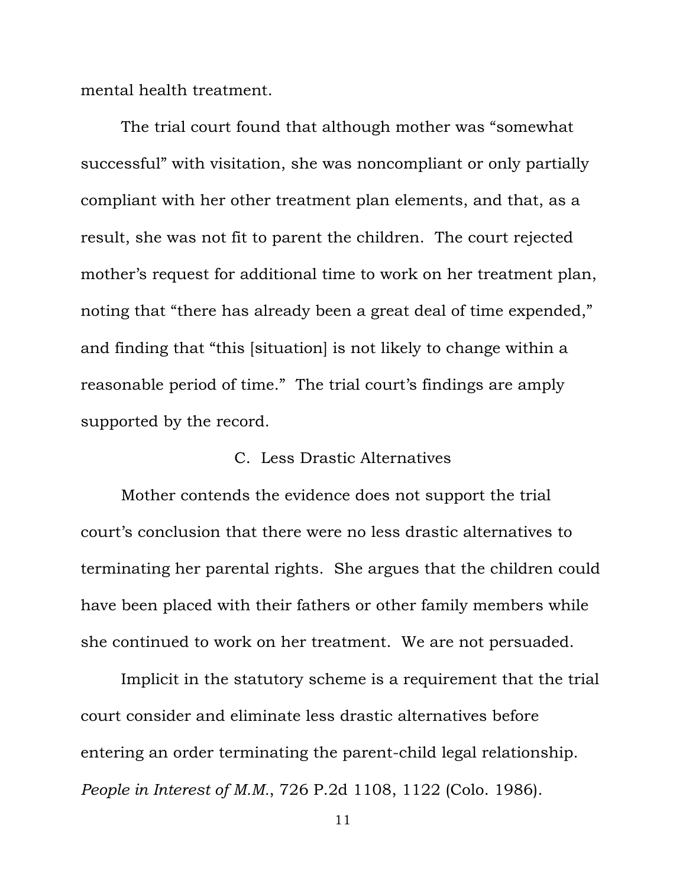mental health treatment.

The trial court found that although mother was "somewhat successful" with visitation, she was noncompliant or only partially compliant with her other treatment plan elements, and that, as a result, she was not fit to parent the children. The court rejected mother's request for additional time to work on her treatment plan, noting that "there has already been a great deal of time expended," and finding that "this [situation] is not likely to change within a reasonable period of time." The trial court's findings are amply supported by the record.

## C. Less Drastic Alternatives

Mother contends the evidence does not support the trial court's conclusion that there were no less drastic alternatives to terminating her parental rights. She argues that the children could have been placed with their fathers or other family members while she continued to work on her treatment. We are not persuaded.

Implicit in the statutory scheme is a requirement that the trial court consider and eliminate less drastic alternatives before entering an order terminating the parent-child legal relationship. *People in Interest of M.M.*, 726 P.2d 1108, 1122 (Colo. 1986).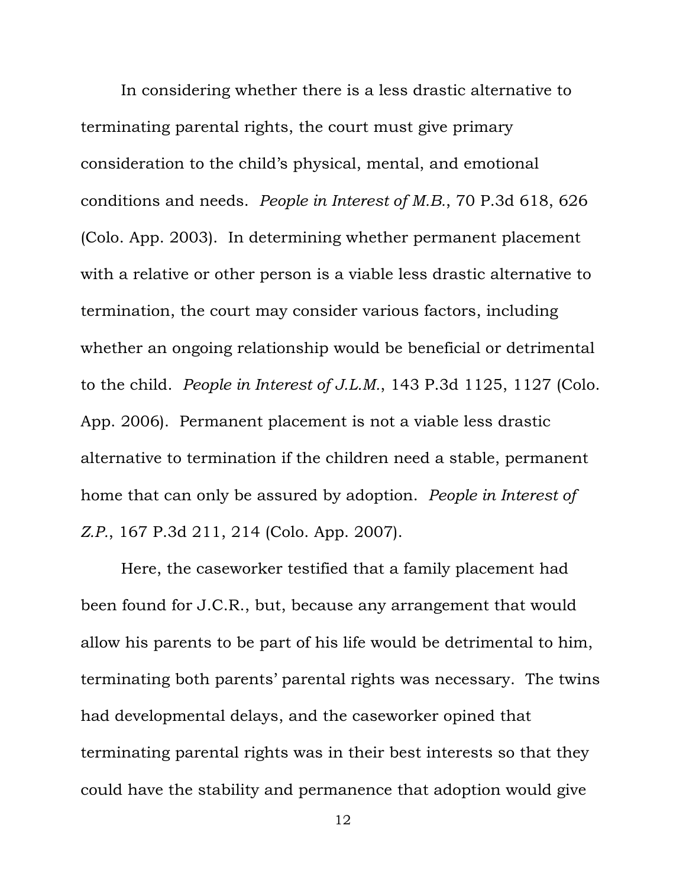In considering whether there is a less drastic alternative to terminating parental rights, the court must give primary consideration to the child's physical, mental, and emotional conditions and needs. *People in Interest of M.B.*, 70 P.3d 618, 626 (Colo. App. 2003). In determining whether permanent placement with a relative or other person is a viable less drastic alternative to termination, the court may consider various factors, including whether an ongoing relationship would be beneficial or detrimental to the child. *People in Interest of J.L.M.*, 143 P.3d 1125, 1127 (Colo. App. 2006). Permanent placement is not a viable less drastic alternative to termination if the children need a stable, permanent home that can only be assured by adoption. *People in Interest of Z.P.*, 167 P.3d 211, 214 (Colo. App. 2007).

Here, the caseworker testified that a family placement had been found for J.C.R., but, because any arrangement that would allow his parents to be part of his life would be detrimental to him, terminating both parents' parental rights was necessary. The twins had developmental delays, and the caseworker opined that terminating parental rights was in their best interests so that they could have the stability and permanence that adoption would give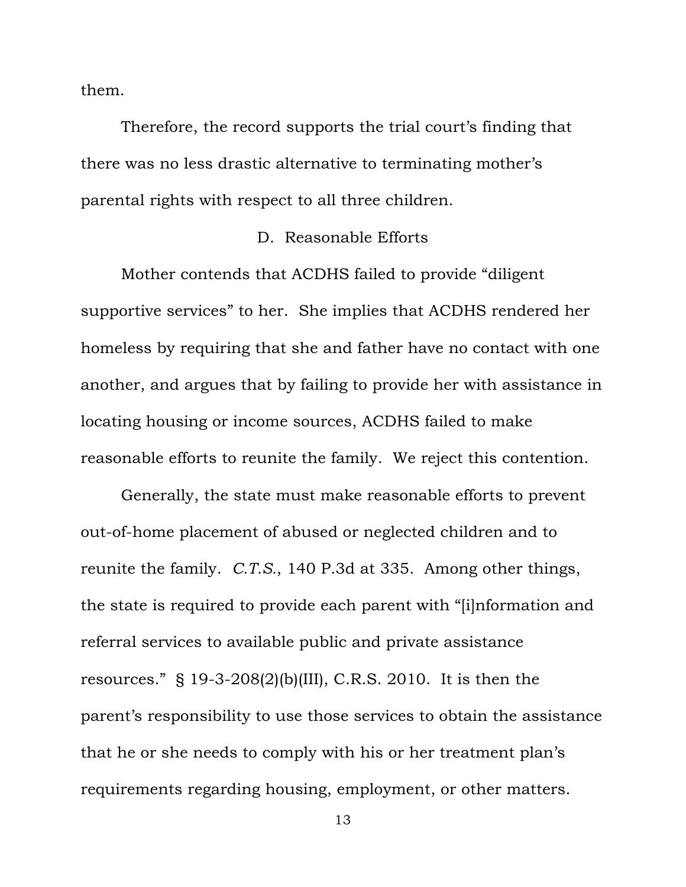them.

Therefore, the record supports the trial court's finding that there was no less drastic alternative to terminating mother's parental rights with respect to all three children.

#### D. Reasonable Efforts

Mother contends that ACDHS failed to provide "diligent supportive services" to her. She implies that ACDHS rendered her homeless by requiring that she and father have no contact with one another, and argues that by failing to provide her with assistance in locating housing or income sources, ACDHS failed to make reasonable efforts to reunite the family. We reject this contention.

Generally, the state must make reasonable efforts to prevent out-of-home placement of abused or neglected children and to reunite the family. *C.T.S.*, 140 P.3d at 335. Among other things, the state is required to provide each parent with "[i]nformation and referral services to available public and private assistance resources." § 19-3-208(2)(b)(III), C.R.S. 2010. It is then the parent's responsibility to use those services to obtain the assistance that he or she needs to comply with his or her treatment plan's requirements regarding housing, employment, or other matters.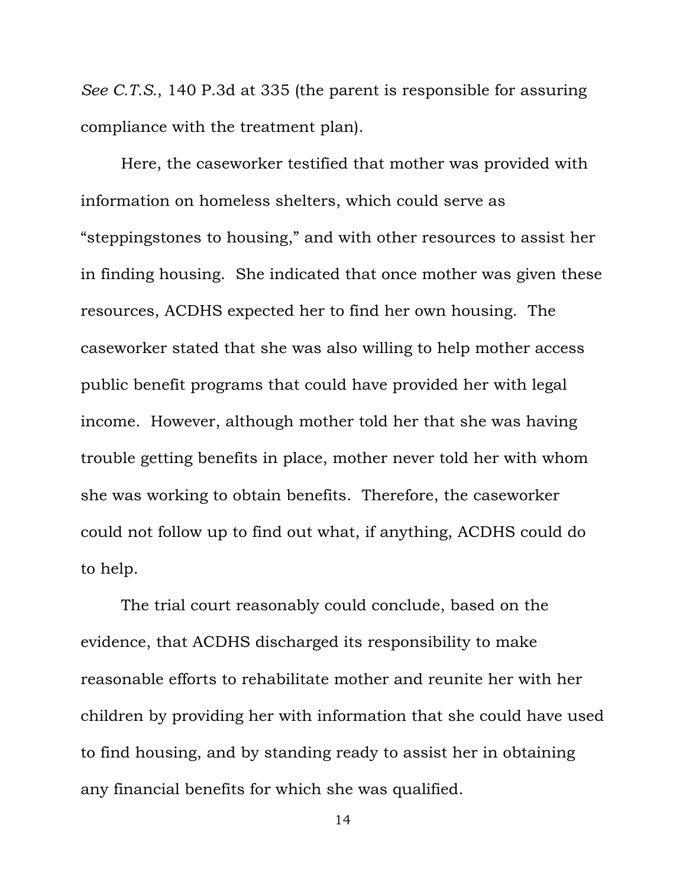*See C.T.S.*, 140 P.3d at 335 (the parent is responsible for assuring compliance with the treatment plan).

Here, the caseworker testified that mother was provided with information on homeless shelters, which could serve as "steppingstones to housing," and with other resources to assist her in finding housing. She indicated that once mother was given these resources, ACDHS expected her to find her own housing. The caseworker stated that she was also willing to help mother access public benefit programs that could have provided her with legal income. However, although mother told her that she was having trouble getting benefits in place, mother never told her with whom she was working to obtain benefits. Therefore, the caseworker could not follow up to find out what, if anything, ACDHS could do to help.

The trial court reasonably could conclude, based on the evidence, that ACDHS discharged its responsibility to make reasonable efforts to rehabilitate mother and reunite her with her children by providing her with information that she could have used to find housing, and by standing ready to assist her in obtaining any financial benefits for which she was qualified.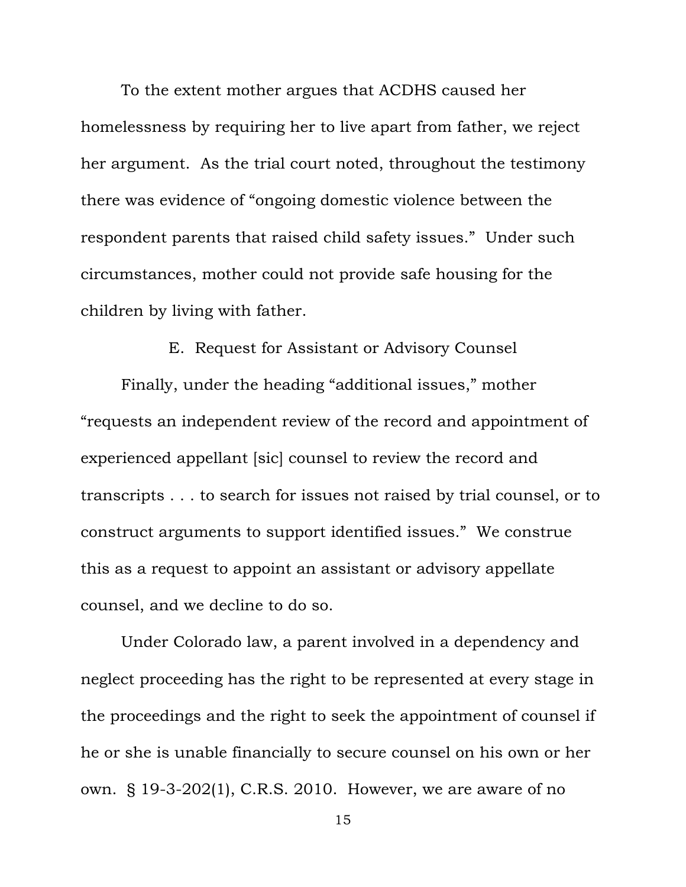To the extent mother argues that ACDHS caused her homelessness by requiring her to live apart from father, we reject her argument. As the trial court noted, throughout the testimony there was evidence of "ongoing domestic violence between the respondent parents that raised child safety issues." Under such circumstances, mother could not provide safe housing for the children by living with father.

### E. Request for Assistant or Advisory Counsel

Finally, under the heading "additional issues," mother "requests an independent review of the record and appointment of experienced appellant [sic] counsel to review the record and transcripts . . . to search for issues not raised by trial counsel, or to construct arguments to support identified issues." We construe this as a request to appoint an assistant or advisory appellate counsel, and we decline to do so.

Under Colorado law, a parent involved in a dependency and neglect proceeding has the right to be represented at every stage in the proceedings and the right to seek the appointment of counsel if he or she is unable financially to secure counsel on his own or her own. § 19-3-202(1), C.R.S. 2010. However, we are aware of no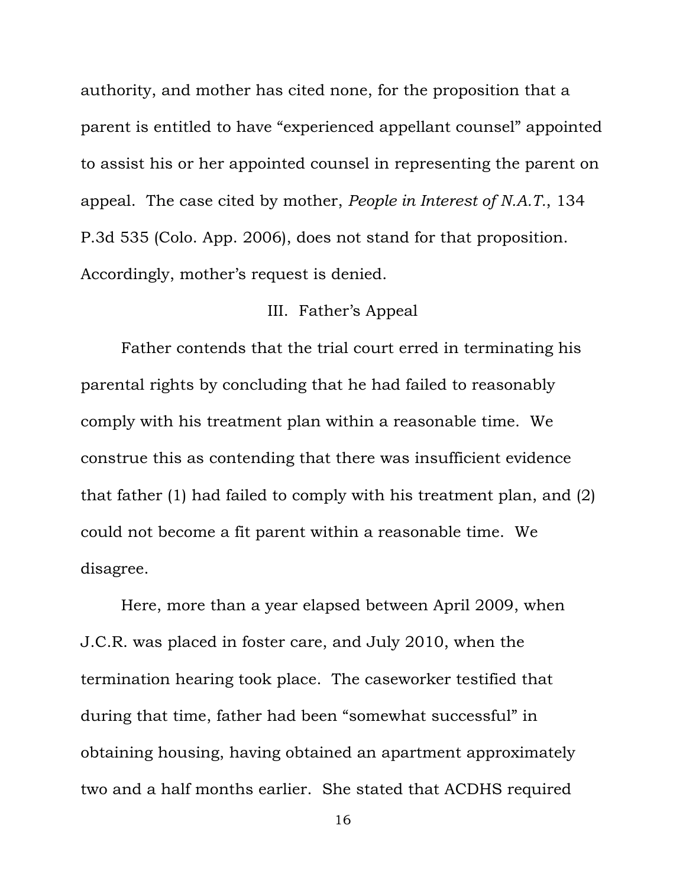authority, and mother has cited none, for the proposition that a parent is entitled to have "experienced appellant counsel" appointed to assist his or her appointed counsel in representing the parent on appeal. The case cited by mother, *People in Interest of N.A.T.*, 134 P.3d 535 (Colo. App. 2006), does not stand for that proposition. Accordingly, mother's request is denied.

# III. Father's Appeal

Father contends that the trial court erred in terminating his parental rights by concluding that he had failed to reasonably comply with his treatment plan within a reasonable time. We construe this as contending that there was insufficient evidence that father (1) had failed to comply with his treatment plan, and (2) could not become a fit parent within a reasonable time. We disagree.

Here, more than a year elapsed between April 2009, when J.C.R. was placed in foster care, and July 2010, when the termination hearing took place. The caseworker testified that during that time, father had been "somewhat successful" in obtaining housing, having obtained an apartment approximately two and a half months earlier. She stated that ACDHS required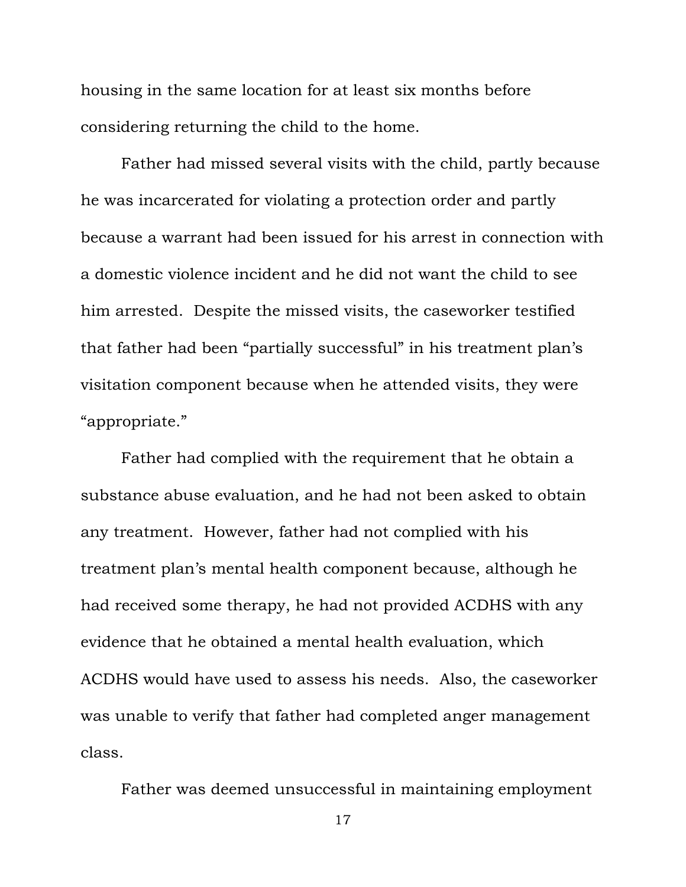housing in the same location for at least six months before considering returning the child to the home.

Father had missed several visits with the child, partly because he was incarcerated for violating a protection order and partly because a warrant had been issued for his arrest in connection with a domestic violence incident and he did not want the child to see him arrested. Despite the missed visits, the caseworker testified that father had been "partially successful" in his treatment plan's visitation component because when he attended visits, they were "appropriate."

Father had complied with the requirement that he obtain a substance abuse evaluation, and he had not been asked to obtain any treatment. However, father had not complied with his treatment plan's mental health component because, although he had received some therapy, he had not provided ACDHS with any evidence that he obtained a mental health evaluation, which ACDHS would have used to assess his needs. Also, the caseworker was unable to verify that father had completed anger management class.

Father was deemed unsuccessful in maintaining employment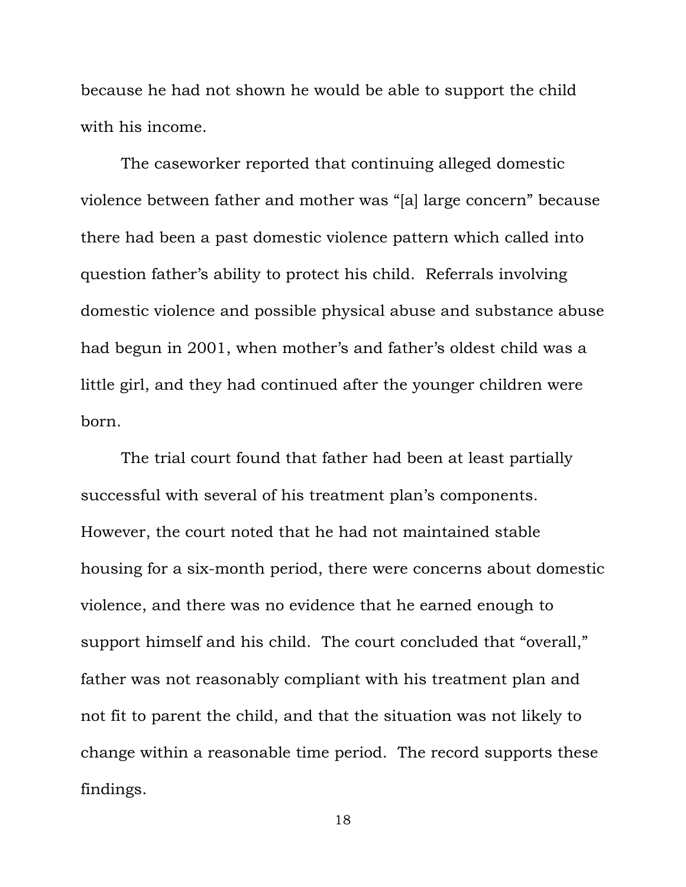because he had not shown he would be able to support the child with his income.

The caseworker reported that continuing alleged domestic violence between father and mother was "[a] large concern" because there had been a past domestic violence pattern which called into question father's ability to protect his child. Referrals involving domestic violence and possible physical abuse and substance abuse had begun in 2001, when mother's and father's oldest child was a little girl, and they had continued after the younger children were born.

The trial court found that father had been at least partially successful with several of his treatment plan's components. However, the court noted that he had not maintained stable housing for a six-month period, there were concerns about domestic violence, and there was no evidence that he earned enough to support himself and his child. The court concluded that "overall," father was not reasonably compliant with his treatment plan and not fit to parent the child, and that the situation was not likely to change within a reasonable time period. The record supports these findings.